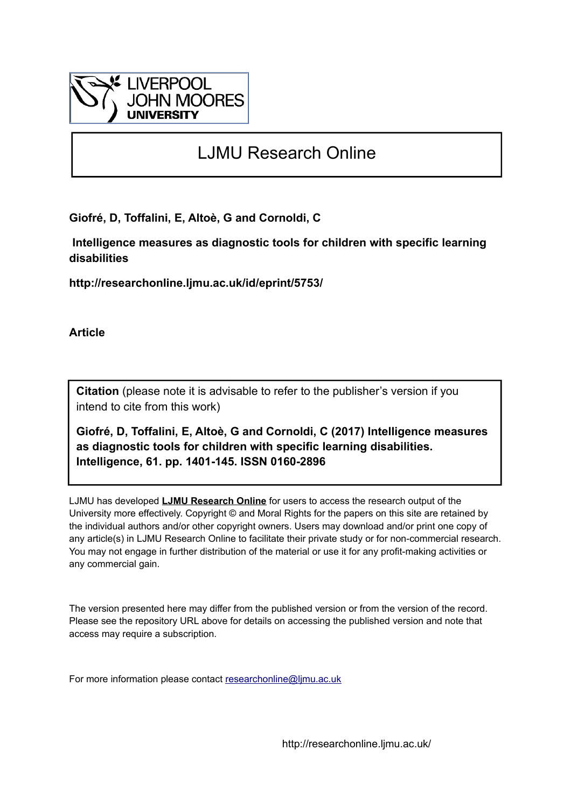

# LJMU Research Online

**Giofré, D, Toffalini, E, Altoè, G and Cornoldi, C**

 **Intelligence measures as diagnostic tools for children with specific learning disabilities**

**http://researchonline.ljmu.ac.uk/id/eprint/5753/**

**Article**

**Citation** (please note it is advisable to refer to the publisher's version if you intend to cite from this work)

**Giofré, D, Toffalini, E, Altoè, G and Cornoldi, C (2017) Intelligence measures as diagnostic tools for children with specific learning disabilities. Intelligence, 61. pp. 1401-145. ISSN 0160-2896** 

LJMU has developed **[LJMU Research Online](http://researchonline.ljmu.ac.uk/)** for users to access the research output of the University more effectively. Copyright © and Moral Rights for the papers on this site are retained by the individual authors and/or other copyright owners. Users may download and/or print one copy of any article(s) in LJMU Research Online to facilitate their private study or for non-commercial research. You may not engage in further distribution of the material or use it for any profit-making activities or any commercial gain.

The version presented here may differ from the published version or from the version of the record. Please see the repository URL above for details on accessing the published version and note that access may require a subscription.

For more information please contact [researchonline@ljmu.ac.uk](mailto:researchonline@ljmu.ac.uk)

http://researchonline.ljmu.ac.uk/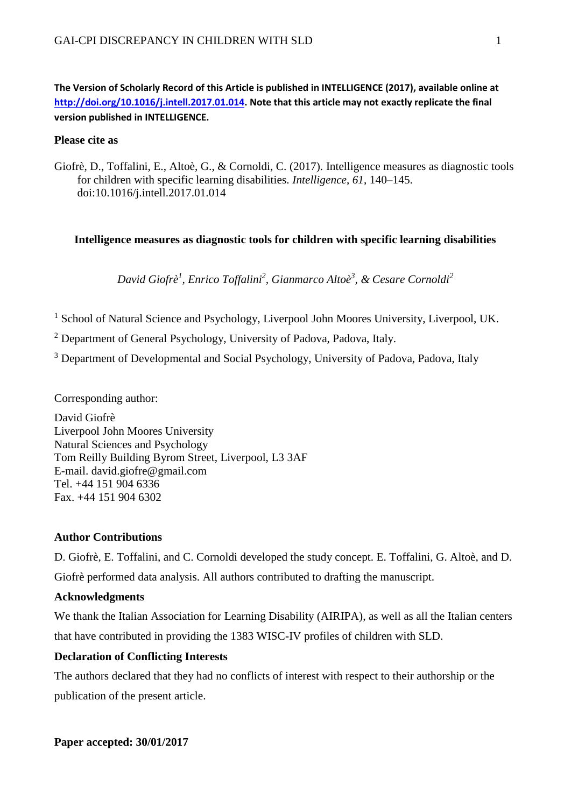**The Version of Scholarly Record of this Article is published in INTELLIGENCE (2017), available online at [http://doi.org/10.1016/j.intell.2017.01.014.](http://doi.org/10.1016/j.intell.2017.01.014) Note that this article may not exactly replicate the final version published in INTELLIGENCE.**

## **Please cite as**

Giofrè, D., Toffalini, E., Altoè, G., & Cornoldi, C. (2017). Intelligence measures as diagnostic tools for children with specific learning disabilities. *Intelligence*, *61*, 140–145. doi:10.1016/j.intell.2017.01.014

## **Intelligence measures as diagnostic tools for children with specific learning disabilities**

*David Giofrè<sup>1</sup> , Enrico Toffalini<sup>2</sup> , Gianmarco Altoè<sup>3</sup> , & Cesare Cornoldi<sup>2</sup>*

- <sup>1</sup> School of Natural Science and Psychology, Liverpool John Moores University, Liverpool, UK.
- <sup>2</sup> Department of General Psychology, University of Padova, Padova, Italy.
- <sup>3</sup> Department of Developmental and Social Psychology, University of Padova, Padova, Italy

Corresponding author:

David Giofrè Liverpool John Moores University Natural Sciences and Psychology Tom Reilly Building Byrom Street, Liverpool, L3 3AF E-mail. david.giofre@gmail.com Tel. +44 151 904 6336 Fax. +44 151 904 6302

## **Author Contributions**

D. Giofrè, E. Toffalini, and C. Cornoldi developed the study concept. E. Toffalini, G. Altoè, and D. Giofrè performed data analysis. All authors contributed to drafting the manuscript.

# **Acknowledgments**

We thank the Italian Association for Learning Disability (AIRIPA), as well as all the Italian centers that have contributed in providing the 1383 WISC-IV profiles of children with SLD.

# **Declaration of Conflicting Interests**

The authors declared that they had no conflicts of interest with respect to their authorship or the publication of the present article.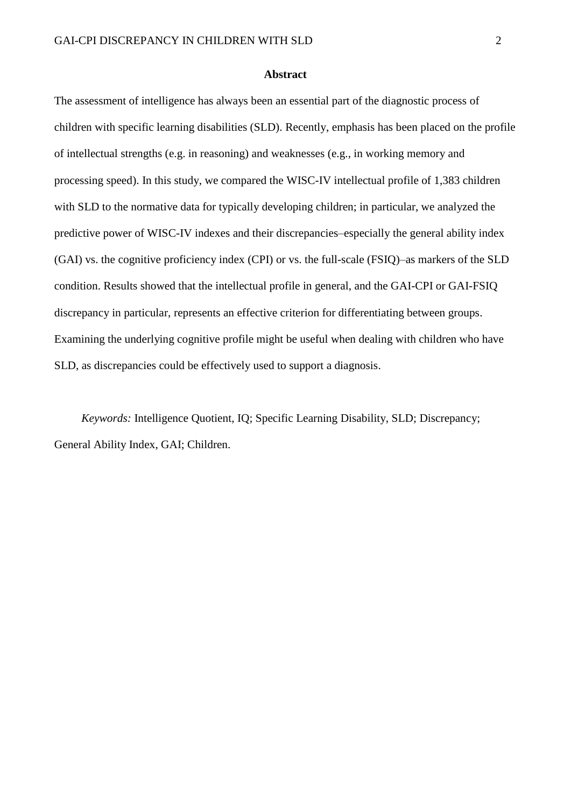#### **Abstract**

The assessment of intelligence has always been an essential part of the diagnostic process of children with specific learning disabilities (SLD). Recently, emphasis has been placed on the profile of intellectual strengths (e.g. in reasoning) and weaknesses (e.g., in working memory and processing speed). In this study, we compared the WISC-IV intellectual profile of 1,383 children with SLD to the normative data for typically developing children; in particular, we analyzed the predictive power of WISC-IV indexes and their discrepancies–especially the general ability index (GAI) vs. the cognitive proficiency index (CPI) or vs. the full-scale (FSIQ)–as markers of the SLD condition. Results showed that the intellectual profile in general, and the GAI-CPI or GAI-FSIQ discrepancy in particular, represents an effective criterion for differentiating between groups. Examining the underlying cognitive profile might be useful when dealing with children who have SLD, as discrepancies could be effectively used to support a diagnosis.

*Keywords:* Intelligence Quotient, IQ; Specific Learning Disability, SLD; Discrepancy; General Ability Index, GAI; Children.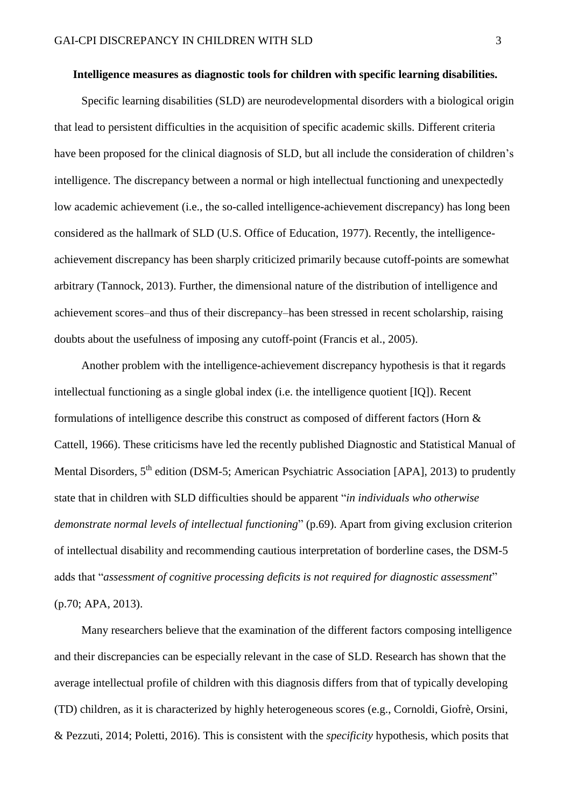#### **Intelligence measures as diagnostic tools for children with specific learning disabilities.**

Specific learning disabilities (SLD) are neurodevelopmental disorders with a biological origin that lead to persistent difficulties in the acquisition of specific academic skills. Different criteria have been proposed for the clinical diagnosis of SLD, but all include the consideration of children's intelligence. The discrepancy between a normal or high intellectual functioning and unexpectedly low academic achievement (i.e., the so-called intelligence-achievement discrepancy) has long been considered as the hallmark of SLD (U.S. Office of Education, 1977). Recently, the intelligenceachievement discrepancy has been sharply criticized primarily because cutoff-points are somewhat arbitrary (Tannock, 2013). Further, the dimensional nature of the distribution of intelligence and achievement scores–and thus of their discrepancy–has been stressed in recent scholarship, raising doubts about the usefulness of imposing any cutoff-point (Francis et al., 2005).

Another problem with the intelligence-achievement discrepancy hypothesis is that it regards intellectual functioning as a single global index (i.e. the intelligence quotient [IQ]). Recent formulations of intelligence describe this construct as composed of different factors (Horn & Cattell, 1966). These criticisms have led the recently published Diagnostic and Statistical Manual of Mental Disorders, 5<sup>th</sup> edition (DSM-5; American Psychiatric Association [APA], 2013) to prudently state that in children with SLD difficulties should be apparent "*in individuals who otherwise demonstrate normal levels of intellectual functioning*" (p.69). Apart from giving exclusion criterion of intellectual disability and recommending cautious interpretation of borderline cases, the DSM-5 adds that "*assessment of cognitive processing deficits is not required for diagnostic assessment*" (p.70; APA, 2013).

Many researchers believe that the examination of the different factors composing intelligence and their discrepancies can be especially relevant in the case of SLD. Research has shown that the average intellectual profile of children with this diagnosis differs from that of typically developing (TD) children, as it is characterized by highly heterogeneous scores (e.g., Cornoldi, Giofrè, Orsini, & Pezzuti, 2014; Poletti, 2016). This is consistent with the *specificity* hypothesis, which posits that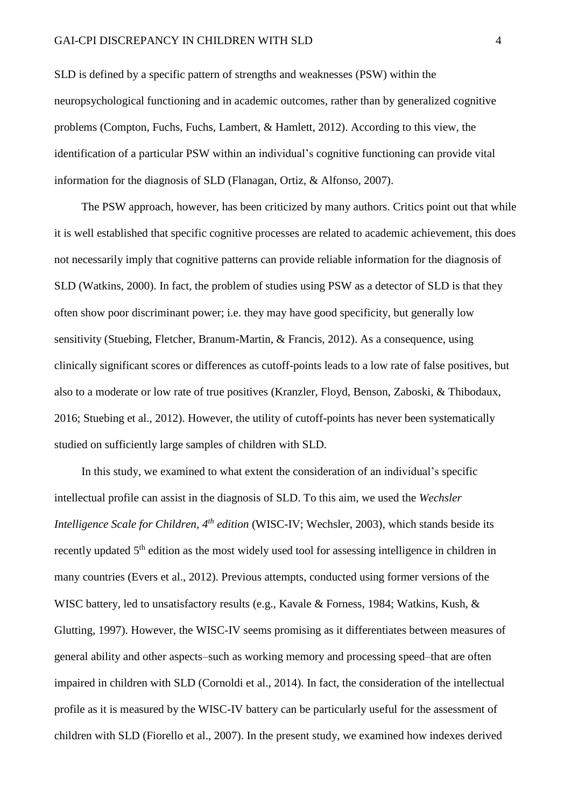SLD is defined by a specific pattern of strengths and weaknesses (PSW) within the neuropsychological functioning and in academic outcomes, rather than by generalized cognitive problems (Compton, Fuchs, Fuchs, Lambert, & Hamlett, 2012). According to this view, the identification of a particular PSW within an individual's cognitive functioning can provide vital information for the diagnosis of SLD (Flanagan, Ortiz, & Alfonso, 2007).

The PSW approach, however, has been criticized by many authors. Critics point out that while it is well established that specific cognitive processes are related to academic achievement, this does not necessarily imply that cognitive patterns can provide reliable information for the diagnosis of SLD (Watkins, 2000). In fact, the problem of studies using PSW as a detector of SLD is that they often show poor discriminant power; i.e. they may have good specificity, but generally low sensitivity (Stuebing, Fletcher, Branum-Martin, & Francis, 2012). As a consequence, using clinically significant scores or differences as cutoff-points leads to a low rate of false positives, but also to a moderate or low rate of true positives (Kranzler, Floyd, Benson, Zaboski, & Thibodaux, 2016; Stuebing et al., 2012). However, the utility of cutoff-points has never been systematically studied on sufficiently large samples of children with SLD.

In this study, we examined to what extent the consideration of an individual's specific intellectual profile can assist in the diagnosis of SLD. To this aim, we used the *Wechsler Intelligence Scale for Children, 4th edition* (WISC-IV; Wechsler, 2003), which stands beside its recently updated 5<sup>th</sup> edition as the most widely used tool for assessing intelligence in children in many countries (Evers et al., 2012). Previous attempts, conducted using former versions of the WISC battery, led to unsatisfactory results (e.g., Kavale & Forness, 1984; Watkins, Kush, & Glutting, 1997). However, the WISC-IV seems promising as it differentiates between measures of general ability and other aspects–such as working memory and processing speed–that are often impaired in children with SLD (Cornoldi et al., 2014). In fact, the consideration of the intellectual profile as it is measured by the WISC-IV battery can be particularly useful for the assessment of children with SLD (Fiorello et al., 2007). In the present study, we examined how indexes derived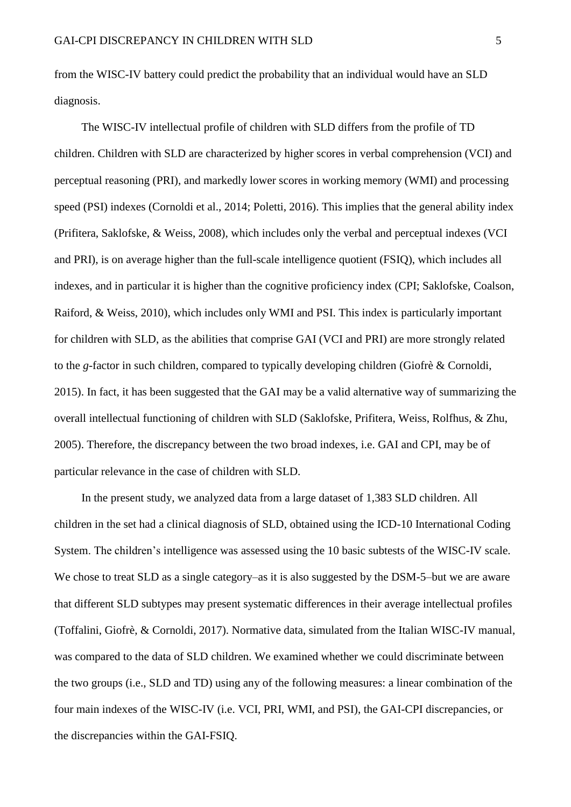from the WISC-IV battery could predict the probability that an individual would have an SLD diagnosis.

The WISC-IV intellectual profile of children with SLD differs from the profile of TD children. Children with SLD are characterized by higher scores in verbal comprehension (VCI) and perceptual reasoning (PRI), and markedly lower scores in working memory (WMI) and processing speed (PSI) indexes (Cornoldi et al., 2014; Poletti, 2016). This implies that the general ability index (Prifitera, Saklofske, & Weiss, 2008), which includes only the verbal and perceptual indexes (VCI and PRI), is on average higher than the full-scale intelligence quotient (FSIQ), which includes all indexes, and in particular it is higher than the cognitive proficiency index (CPI; Saklofske, Coalson, Raiford, & Weiss, 2010), which includes only WMI and PSI. This index is particularly important for children with SLD, as the abilities that comprise GAI (VCI and PRI) are more strongly related to the *g*-factor in such children, compared to typically developing children (Giofrè & Cornoldi, 2015). In fact, it has been suggested that the GAI may be a valid alternative way of summarizing the overall intellectual functioning of children with SLD (Saklofske, Prifitera, Weiss, Rolfhus, & Zhu, 2005). Therefore, the discrepancy between the two broad indexes, i.e. GAI and CPI, may be of particular relevance in the case of children with SLD.

In the present study, we analyzed data from a large dataset of 1,383 SLD children. All children in the set had a clinical diagnosis of SLD, obtained using the ICD-10 International Coding System. The children's intelligence was assessed using the 10 basic subtests of the WISC-IV scale. We chose to treat SLD as a single category–as it is also suggested by the DSM-5–but we are aware that different SLD subtypes may present systematic differences in their average intellectual profiles (Toffalini, Giofrè, & Cornoldi, 2017). Normative data, simulated from the Italian WISC-IV manual, was compared to the data of SLD children. We examined whether we could discriminate between the two groups (i.e., SLD and TD) using any of the following measures: a linear combination of the four main indexes of the WISC-IV (i.e. VCI, PRI, WMI, and PSI), the GAI-CPI discrepancies, or the discrepancies within the GAI-FSIQ.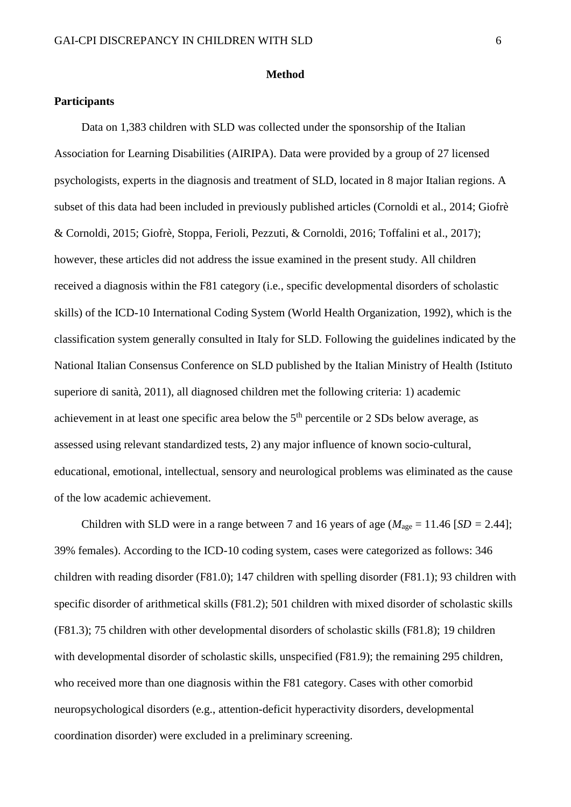#### **Method**

## **Participants**

Data on 1,383 children with SLD was collected under the sponsorship of the Italian Association for Learning Disabilities (AIRIPA). Data were provided by a group of 27 licensed psychologists, experts in the diagnosis and treatment of SLD, located in 8 major Italian regions. A subset of this data had been included in previously published articles (Cornoldi et al., 2014; Giofrè & Cornoldi, 2015; Giofrè, Stoppa, Ferioli, Pezzuti, & Cornoldi, 2016; Toffalini et al., 2017); however, these articles did not address the issue examined in the present study. All children received a diagnosis within the F81 category (i.e., specific developmental disorders of scholastic skills) of the ICD-10 International Coding System (World Health Organization, 1992), which is the classification system generally consulted in Italy for SLD. Following the guidelines indicated by the National Italian Consensus Conference on SLD published by the Italian Ministry of Health (Istituto superiore di sanità, 2011), all diagnosed children met the following criteria: 1) academic achievement in at least one specific area below the  $5<sup>th</sup>$  percentile or 2 SDs below average, as assessed using relevant standardized tests, 2) any major influence of known socio-cultural, educational, emotional, intellectual, sensory and neurological problems was eliminated as the cause of the low academic achievement.

Children with SLD were in a range between 7 and 16 years of age ( $M_{\text{age}} = 11.46$  [*SD* = 2.44]; 39% females). According to the ICD-10 coding system, cases were categorized as follows: 346 children with reading disorder (F81.0); 147 children with spelling disorder (F81.1); 93 children with specific disorder of arithmetical skills (F81.2); 501 children with mixed disorder of scholastic skills (F81.3); 75 children with other developmental disorders of scholastic skills (F81.8); 19 children with developmental disorder of scholastic skills, unspecified (F81.9); the remaining 295 children, who received more than one diagnosis within the F81 category. Cases with other comorbid neuropsychological disorders (e.g., attention-deficit hyperactivity disorders, developmental coordination disorder) were excluded in a preliminary screening.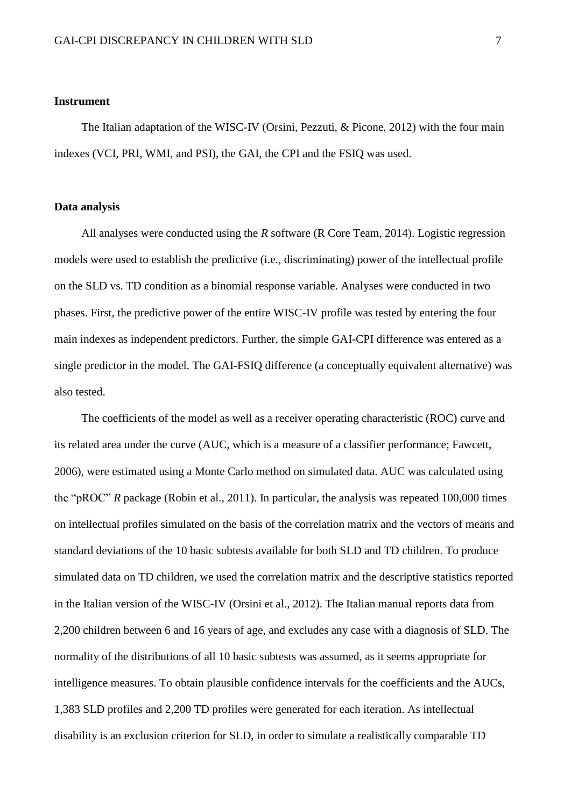### **Instrument**

The Italian adaptation of the WISC-IV (Orsini, Pezzuti, & Picone, 2012) with the four main indexes (VCI, PRI, WMI, and PSI), the GAI, the CPI and the FSIQ was used.

#### **Data analysis**

All analyses were conducted using the *R* software (R Core Team, 2014). Logistic regression models were used to establish the predictive (i.e., discriminating) power of the intellectual profile on the SLD vs. TD condition as a binomial response variable. Analyses were conducted in two phases. First, the predictive power of the entire WISC-IV profile was tested by entering the four main indexes as independent predictors. Further, the simple GAI-CPI difference was entered as a single predictor in the model. The GAI-FSIQ difference (a conceptually equivalent alternative) was also tested.

The coefficients of the model as well as a receiver operating characteristic (ROC) curve and its related area under the curve (AUC, which is a measure of a classifier performance; Fawcett, 2006), were estimated using a Monte Carlo method on simulated data. AUC was calculated using the "pROC" *R* package (Robin et al., 2011). In particular, the analysis was repeated 100,000 times on intellectual profiles simulated on the basis of the correlation matrix and the vectors of means and standard deviations of the 10 basic subtests available for both SLD and TD children. To produce simulated data on TD children, we used the correlation matrix and the descriptive statistics reported in the Italian version of the WISC-IV (Orsini et al., 2012). The Italian manual reports data from 2,200 children between 6 and 16 years of age, and excludes any case with a diagnosis of SLD. The normality of the distributions of all 10 basic subtests was assumed, as it seems appropriate for intelligence measures. To obtain plausible confidence intervals for the coefficients and the AUCs, 1,383 SLD profiles and 2,200 TD profiles were generated for each iteration. As intellectual disability is an exclusion criterion for SLD, in order to simulate a realistically comparable TD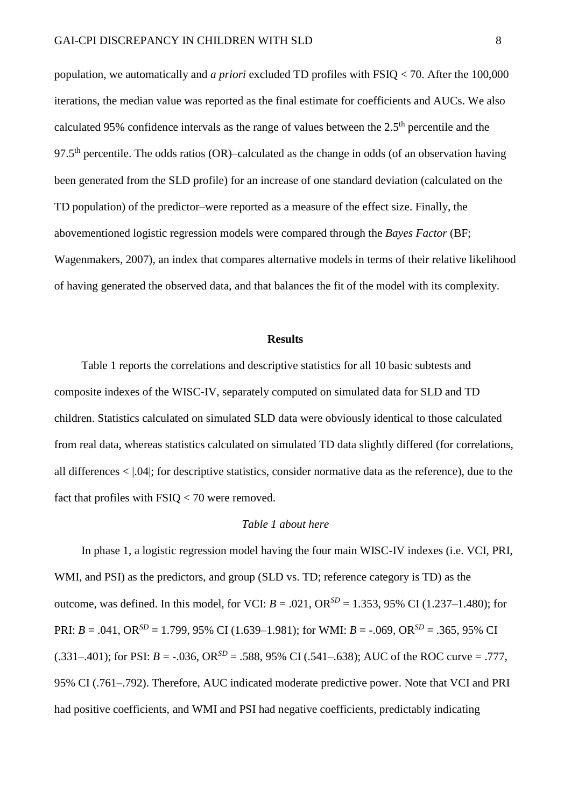population, we automatically and *a priori* excluded TD profiles with FSIQ < 70. After the 100,000 iterations, the median value was reported as the final estimate for coefficients and AUCs. We also calculated 95% confidence intervals as the range of values between the  $2.5<sup>th</sup>$  percentile and the 97.5<sup>th</sup> percentile. The odds ratios (OR)–calculated as the change in odds (of an observation having been generated from the SLD profile) for an increase of one standard deviation (calculated on the TD population) of the predictor–were reported as a measure of the effect size. Finally, the abovementioned logistic regression models were compared through the *Bayes Factor* (BF; Wagenmakers, 2007), an index that compares alternative models in terms of their relative likelihood of having generated the observed data, and that balances the fit of the model with its complexity.

#### **Results**

Table 1 reports the correlations and descriptive statistics for all 10 basic subtests and composite indexes of the WISC-IV, separately computed on simulated data for SLD and TD children. Statistics calculated on simulated SLD data were obviously identical to those calculated from real data, whereas statistics calculated on simulated TD data slightly differed (for correlations, all differences < |.04|; for descriptive statistics, consider normative data as the reference), due to the fact that profiles with FSIQ < 70 were removed.

### *Table 1 about here*

In phase 1, a logistic regression model having the four main WISC-IV indexes (i.e. VCI, PRI, WMI, and PSI) as the predictors, and group (SLD vs. TD; reference category is TD) as the outcome, was defined. In this model, for VCI:  $B = .021$ ,  $OR^{SD} = 1.353$ , 95% CI (1.237–1.480); for PRI:  $B = .041$ , OR<sup>SD</sup> = 1.799, 95% CI (1.639–1.981); for WMI:  $B = -.069$ , OR<sup>SD</sup> = .365, 95% CI  $(.331-.401)$ ; for PSI:  $B = -.036$ , OR<sup>SD</sup> = .588, 95% CI (.541–.638); AUC of the ROC curve = .777, 95% CI (.761–.792). Therefore, AUC indicated moderate predictive power. Note that VCI and PRI had positive coefficients, and WMI and PSI had negative coefficients, predictably indicating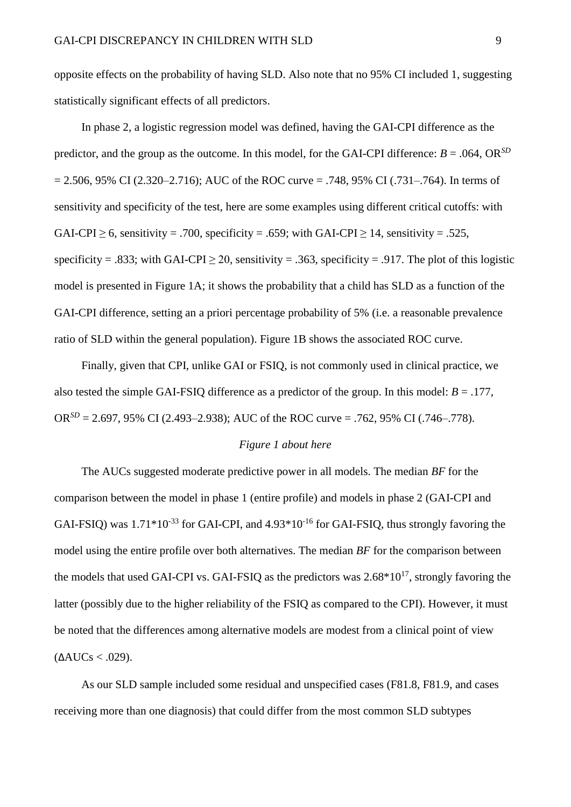opposite effects on the probability of having SLD. Also note that no 95% CI included 1, suggesting statistically significant effects of all predictors.

In phase 2, a logistic regression model was defined, having the GAI-CPI difference as the predictor, and the group as the outcome. In this model, for the GAI-CPI difference:  $B = .064$ , OR<sup>SD</sup>  $= 2.506, 95\% \text{ CI } (2.320 - 2.716)$ ; AUC of the ROC curve  $= .748, 95\% \text{ CI } (0.731 - 0.764)$ . In terms of sensitivity and specificity of the test, here are some examples using different critical cutoffs: with GAI-CPI > 6, sensitivity = .700, specificity = .659; with GAI-CPI > 14, sensitivity = .525, specificity = .833; with GAI-CPI  $\geq$  20, sensitivity = .363, specificity = .917. The plot of this logistic model is presented in Figure 1A; it shows the probability that a child has SLD as a function of the GAI-CPI difference, setting an a priori percentage probability of 5% (i.e. a reasonable prevalence ratio of SLD within the general population). Figure 1B shows the associated ROC curve.

Finally, given that CPI, unlike GAI or FSIQ, is not commonly used in clinical practice, we also tested the simple GAI-FSIQ difference as a predictor of the group. In this model:  $B = .177$ , OR<sup>SD</sup> = 2.697, 95% CI (2.493–2.938); AUC of the ROC curve = .762, 95% CI (.746–.778).

## *Figure 1 about here*

The AUCs suggested moderate predictive power in all models. The median *BF* for the comparison between the model in phase 1 (entire profile) and models in phase 2 (GAI-CPI and GAI-FSIQ) was  $1.71*10^{-33}$  for GAI-CPI, and  $4.93*10^{-16}$  for GAI-FSIQ, thus strongly favoring the model using the entire profile over both alternatives. The median *BF* for the comparison between the models that used GAI-CPI vs. GAI-FSIQ as the predictors was  $2.68*10^{17}$ , strongly favoring the latter (possibly due to the higher reliability of the FSIQ as compared to the CPI). However, it must be noted that the differences among alternative models are modest from a clinical point of view  $(AAUCs < .029)$ .

As our SLD sample included some residual and unspecified cases (F81.8, F81.9, and cases receiving more than one diagnosis) that could differ from the most common SLD subtypes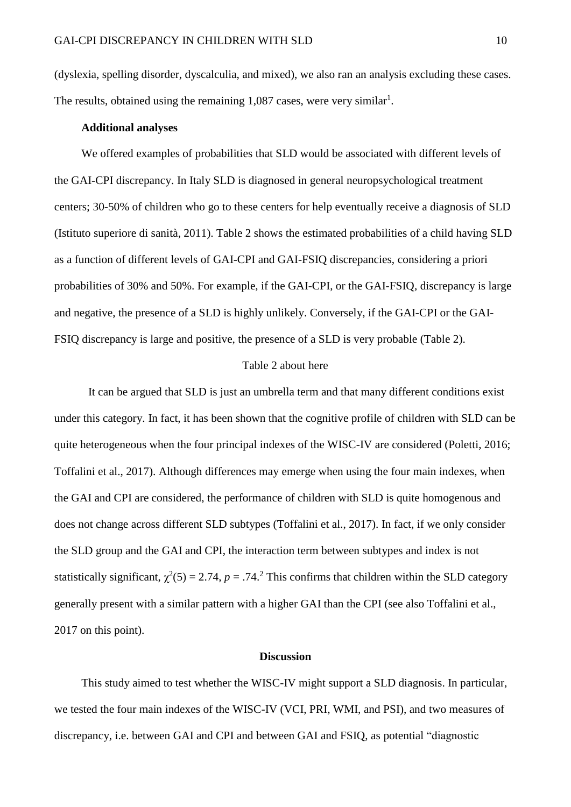(dyslexia, spelling disorder, dyscalculia, and mixed), we also ran an analysis excluding these cases. The results, obtained using the remaining  $1,087$  cases, were very similar<sup>1</sup>.

#### **Additional analyses**

We offered examples of probabilities that SLD would be associated with different levels of the GAI-CPI discrepancy. In Italy SLD is diagnosed in general neuropsychological treatment centers; 30-50% of children who go to these centers for help eventually receive a diagnosis of SLD (Istituto superiore di sanità, 2011). Table 2 shows the estimated probabilities of a child having SLD as a function of different levels of GAI-CPI and GAI-FSIQ discrepancies, considering a priori probabilities of 30% and 50%. For example, if the GAI-CPI, or the GAI-FSIQ, discrepancy is large and negative, the presence of a SLD is highly unlikely. Conversely, if the GAI-CPI or the GAI-FSIQ discrepancy is large and positive, the presence of a SLD is very probable (Table 2).

### Table 2 about here

It can be argued that SLD is just an umbrella term and that many different conditions exist under this category. In fact, it has been shown that the cognitive profile of children with SLD can be quite heterogeneous when the four principal indexes of the WISC-IV are considered (Poletti, 2016; Toffalini et al., 2017). Although differences may emerge when using the four main indexes, when the GAI and CPI are considered, the performance of children with SLD is quite homogenous and does not change across different SLD subtypes (Toffalini et al., 2017). In fact, if we only consider the SLD group and the GAI and CPI, the interaction term between subtypes and index is not statistically significant,  $\chi^2(5) = 2.74$ ,  $p = .74$ .<sup>2</sup> This confirms that children within the SLD category generally present with a similar pattern with a higher GAI than the CPI (see also Toffalini et al., 2017 on this point).

#### **Discussion**

This study aimed to test whether the WISC-IV might support a SLD diagnosis. In particular, we tested the four main indexes of the WISC-IV (VCI, PRI, WMI, and PSI), and two measures of discrepancy, i.e. between GAI and CPI and between GAI and FSIQ, as potential "diagnostic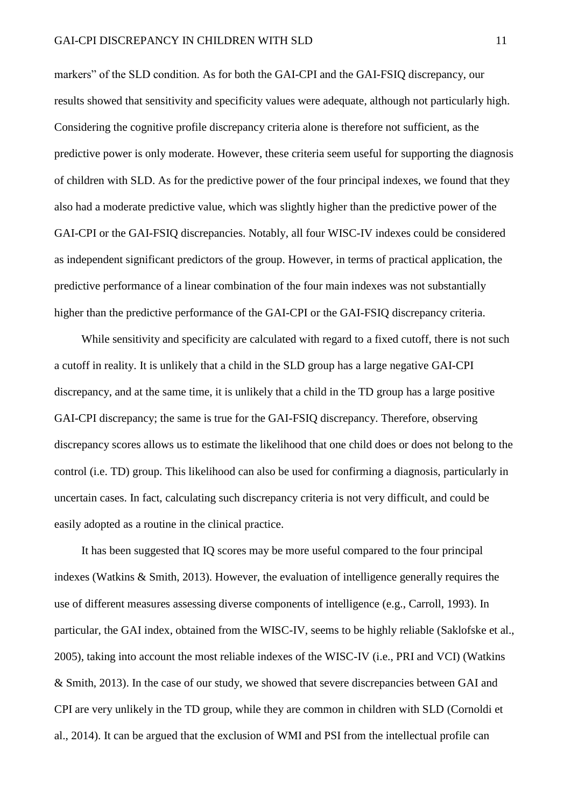markers" of the SLD condition. As for both the GAI-CPI and the GAI-FSIQ discrepancy, our results showed that sensitivity and specificity values were adequate, although not particularly high. Considering the cognitive profile discrepancy criteria alone is therefore not sufficient, as the predictive power is only moderate. However, these criteria seem useful for supporting the diagnosis of children with SLD. As for the predictive power of the four principal indexes, we found that they also had a moderate predictive value, which was slightly higher than the predictive power of the GAI-CPI or the GAI-FSIQ discrepancies. Notably, all four WISC-IV indexes could be considered as independent significant predictors of the group. However, in terms of practical application, the predictive performance of a linear combination of the four main indexes was not substantially higher than the predictive performance of the GAI-CPI or the GAI-FSIQ discrepancy criteria.

While sensitivity and specificity are calculated with regard to a fixed cutoff, there is not such a cutoff in reality. It is unlikely that a child in the SLD group has a large negative GAI-CPI discrepancy, and at the same time, it is unlikely that a child in the TD group has a large positive GAI-CPI discrepancy; the same is true for the GAI-FSIQ discrepancy. Therefore, observing discrepancy scores allows us to estimate the likelihood that one child does or does not belong to the control (i.e. TD) group. This likelihood can also be used for confirming a diagnosis, particularly in uncertain cases. In fact, calculating such discrepancy criteria is not very difficult, and could be easily adopted as a routine in the clinical practice.

It has been suggested that IQ scores may be more useful compared to the four principal indexes (Watkins & Smith, 2013). However, the evaluation of intelligence generally requires the use of different measures assessing diverse components of intelligence (e.g., Carroll, 1993). In particular, the GAI index, obtained from the WISC-IV, seems to be highly reliable (Saklofske et al., 2005), taking into account the most reliable indexes of the WISC-IV (i.e., PRI and VCI) (Watkins & Smith, 2013). In the case of our study, we showed that severe discrepancies between GAI and CPI are very unlikely in the TD group, while they are common in children with SLD (Cornoldi et al., 2014). It can be argued that the exclusion of WMI and PSI from the intellectual profile can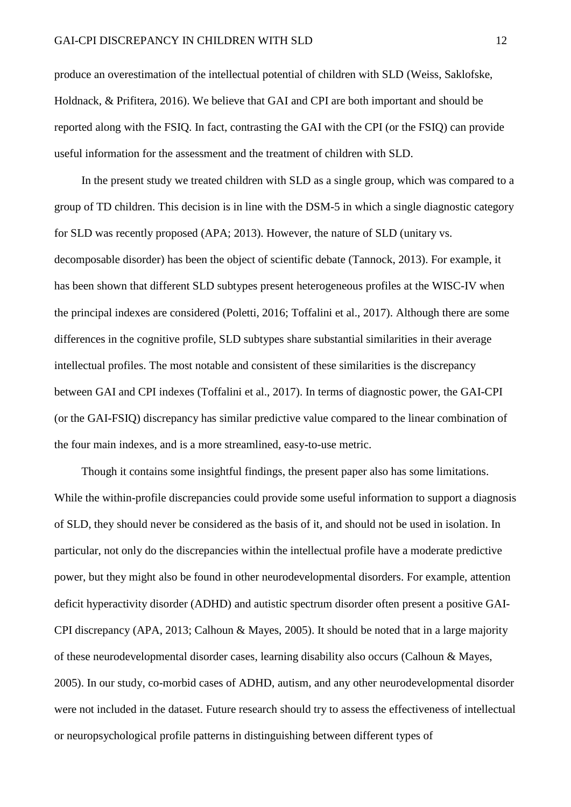produce an overestimation of the intellectual potential of children with SLD (Weiss, Saklofske, Holdnack, & Prifitera, 2016). We believe that GAI and CPI are both important and should be reported along with the FSIQ. In fact, contrasting the GAI with the CPI (or the FSIQ) can provide useful information for the assessment and the treatment of children with SLD.

In the present study we treated children with SLD as a single group, which was compared to a group of TD children. This decision is in line with the DSM-5 in which a single diagnostic category for SLD was recently proposed (APA; 2013). However, the nature of SLD (unitary vs. decomposable disorder) has been the object of scientific debate (Tannock, 2013). For example, it has been shown that different SLD subtypes present heterogeneous profiles at the WISC-IV when the principal indexes are considered (Poletti, 2016; Toffalini et al., 2017). Although there are some differences in the cognitive profile, SLD subtypes share substantial similarities in their average intellectual profiles. The most notable and consistent of these similarities is the discrepancy between GAI and CPI indexes (Toffalini et al., 2017). In terms of diagnostic power, the GAI-CPI (or the GAI-FSIQ) discrepancy has similar predictive value compared to the linear combination of the four main indexes, and is a more streamlined, easy-to-use metric.

Though it contains some insightful findings, the present paper also has some limitations. While the within-profile discrepancies could provide some useful information to support a diagnosis of SLD, they should never be considered as the basis of it, and should not be used in isolation. In particular, not only do the discrepancies within the intellectual profile have a moderate predictive power, but they might also be found in other neurodevelopmental disorders. For example, attention deficit hyperactivity disorder (ADHD) and autistic spectrum disorder often present a positive GAI-CPI discrepancy (APA, 2013; Calhoun & Mayes, 2005). It should be noted that in a large majority of these neurodevelopmental disorder cases, learning disability also occurs (Calhoun & Mayes, 2005). In our study, co-morbid cases of ADHD, autism, and any other neurodevelopmental disorder were not included in the dataset. Future research should try to assess the effectiveness of intellectual or neuropsychological profile patterns in distinguishing between different types of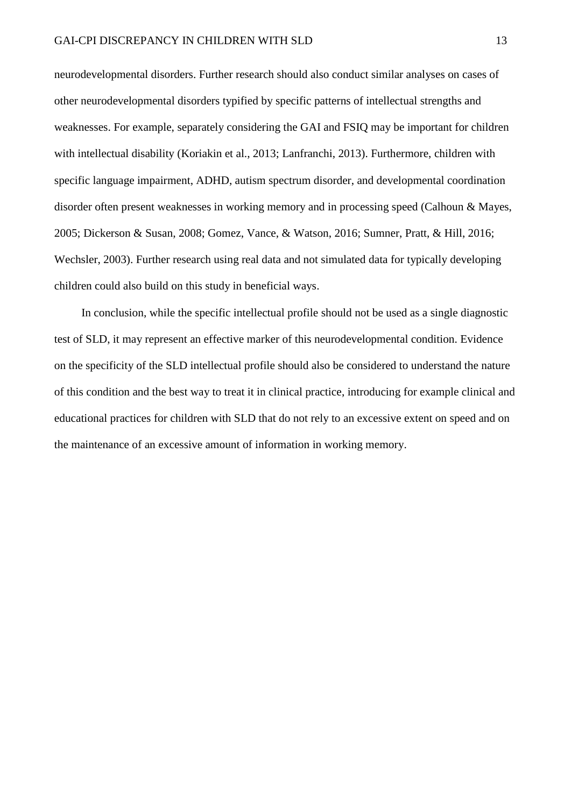neurodevelopmental disorders. Further research should also conduct similar analyses on cases of other neurodevelopmental disorders typified by specific patterns of intellectual strengths and weaknesses. For example, separately considering the GAI and FSIQ may be important for children with intellectual disability (Koriakin et al., 2013; Lanfranchi, 2013). Furthermore, children with specific language impairment, ADHD, autism spectrum disorder, and developmental coordination disorder often present weaknesses in working memory and in processing speed (Calhoun & Mayes, 2005; Dickerson & Susan, 2008; Gomez, Vance, & Watson, 2016; Sumner, Pratt, & Hill, 2016; Wechsler, 2003). Further research using real data and not simulated data for typically developing children could also build on this study in beneficial ways.

In conclusion, while the specific intellectual profile should not be used as a single diagnostic test of SLD, it may represent an effective marker of this neurodevelopmental condition. Evidence on the specificity of the SLD intellectual profile should also be considered to understand the nature of this condition and the best way to treat it in clinical practice, introducing for example clinical and educational practices for children with SLD that do not rely to an excessive extent on speed and on the maintenance of an excessive amount of information in working memory.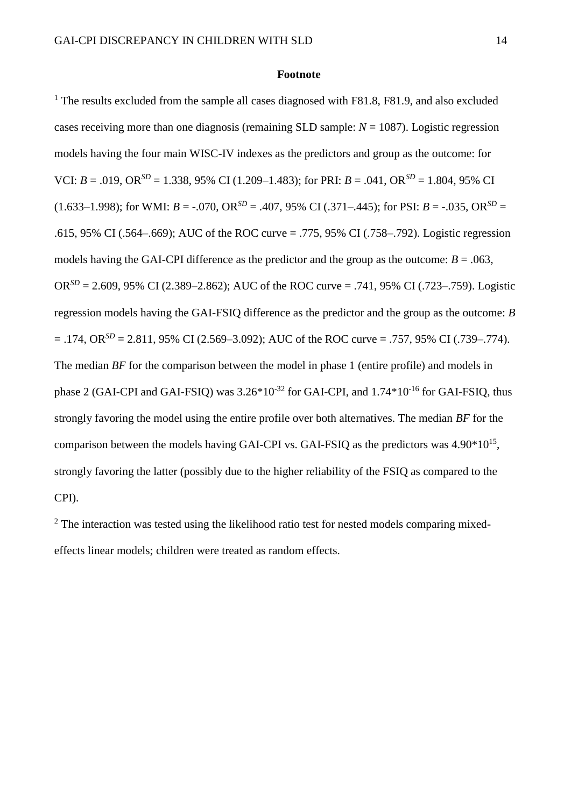#### **Footnote**

<sup>1</sup> The results excluded from the sample all cases diagnosed with F81.8, F81.9, and also excluded cases receiving more than one diagnosis (remaining SLD sample: *N* = 1087). Logistic regression models having the four main WISC-IV indexes as the predictors and group as the outcome: for VCI:  $B = .019$ , OR<sup>SD</sup> = 1.338, 95% CI (1.209–1.483); for PRI:  $B = .041$ , OR<sup>SD</sup> = 1.804, 95% CI  $(1.633-1.998)$ ; for WMI:  $B = -.070$ ,  $OR^{SD} = .407$ ,  $95\%$  CI (.371–.445); for PSI:  $B = -.035$ ,  $OR^{SD} =$ .615, 95% CI (.564–.669); AUC of the ROC curve = .775, 95% CI (.758–.792). Logistic regression models having the GAI-CPI difference as the predictor and the group as the outcome:  $B = .063$ , OR<sup>SD</sup> = 2.609, 95% CI (2.389–2.862); AUC of the ROC curve = .741, 95% CI (.723–.759). Logistic regression models having the GAI-FSIQ difference as the predictor and the group as the outcome: *B*  $= .174$ , OR<sup>SD</sup> = 2.811, 95% CI (2.569–3.092); AUC of the ROC curve = .757, 95% CI (.739–.774). The median *BF* for the comparison between the model in phase 1 (entire profile) and models in phase 2 (GAI-CPI and GAI-FSIQ) was  $3.26*10^{-32}$  for GAI-CPI, and  $1.74*10^{-16}$  for GAI-FSIQ, thus strongly favoring the model using the entire profile over both alternatives. The median *BF* for the comparison between the models having GAI-CPI vs. GAI-FSIQ as the predictors was  $4.90*10^{15}$ , strongly favoring the latter (possibly due to the higher reliability of the FSIQ as compared to the CPI).

 $2$ . The interaction was tested using the likelihood ratio test for nested models comparing mixedeffects linear models; children were treated as random effects.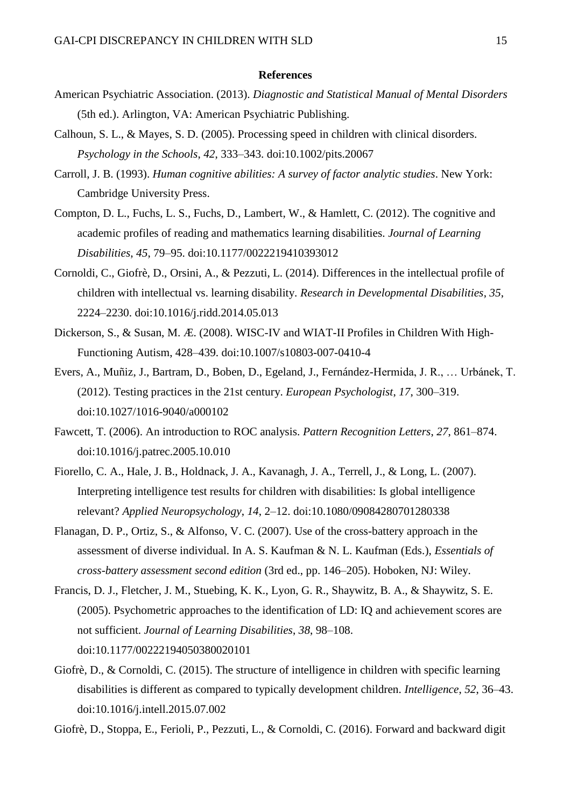#### **References**

- American Psychiatric Association. (2013). *Diagnostic and Statistical Manual of Mental Disorders* (5th ed.). Arlington, VA: American Psychiatric Publishing.
- Calhoun, S. L., & Mayes, S. D. (2005). Processing speed in children with clinical disorders. *Psychology in the Schools*, *42*, 333–343. doi:10.1002/pits.20067
- Carroll, J. B. (1993). *Human cognitive abilities: A survey of factor analytic studies*. New York: Cambridge University Press.
- Compton, D. L., Fuchs, L. S., Fuchs, D., Lambert, W., & Hamlett, C. (2012). The cognitive and academic profiles of reading and mathematics learning disabilities. *Journal of Learning Disabilities*, *45*, 79–95. doi:10.1177/0022219410393012
- Cornoldi, C., Giofrè, D., Orsini, A., & Pezzuti, L. (2014). Differences in the intellectual profile of children with intellectual vs. learning disability. *Research in Developmental Disabilities*, *35*, 2224–2230. doi:10.1016/j.ridd.2014.05.013
- Dickerson, S., & Susan, M. Æ. (2008). WISC-IV and WIAT-II Profiles in Children With High-Functioning Autism, 428–439. doi:10.1007/s10803-007-0410-4
- Evers, A., Muñiz, J., Bartram, D., Boben, D., Egeland, J., Fernández-Hermida, J. R., … Urbánek, T. (2012). Testing practices in the 21st century. *European Psychologist*, *17*, 300–319. doi:10.1027/1016-9040/a000102
- Fawcett, T. (2006). An introduction to ROC analysis. *Pattern Recognition Letters*, *27*, 861–874. doi:10.1016/j.patrec.2005.10.010
- Fiorello, C. A., Hale, J. B., Holdnack, J. A., Kavanagh, J. A., Terrell, J., & Long, L. (2007). Interpreting intelligence test results for children with disabilities: Is global intelligence relevant? *Applied Neuropsychology*, *14*, 2–12. doi:10.1080/09084280701280338
- Flanagan, D. P., Ortiz, S., & Alfonso, V. C. (2007). Use of the cross-battery approach in the assessment of diverse individual. In A. S. Kaufman & N. L. Kaufman (Eds.), *Essentials of cross-battery assessment second edition* (3rd ed., pp. 146–205). Hoboken, NJ: Wiley.
- Francis, D. J., Fletcher, J. M., Stuebing, K. K., Lyon, G. R., Shaywitz, B. A., & Shaywitz, S. E. (2005). Psychometric approaches to the identification of LD: IQ and achievement scores are not sufficient. *Journal of Learning Disabilities*, *38*, 98–108. doi:10.1177/00222194050380020101
- Giofrè, D., & Cornoldi, C. (2015). The structure of intelligence in children with specific learning disabilities is different as compared to typically development children. *Intelligence*, *52*, 36–43. doi:10.1016/j.intell.2015.07.002

Giofrè, D., Stoppa, E., Ferioli, P., Pezzuti, L., & Cornoldi, C. (2016). Forward and backward digit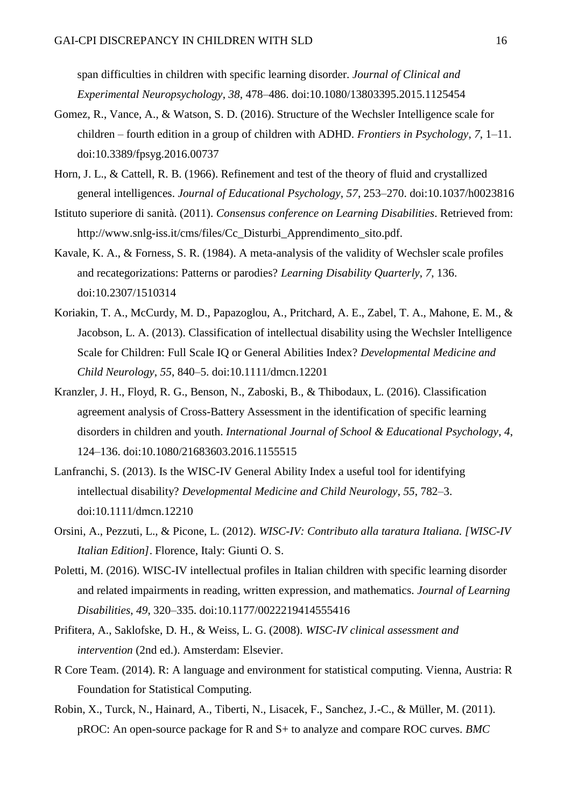span difficulties in children with specific learning disorder. *Journal of Clinical and Experimental Neuropsychology*, *38*, 478–486. doi:10.1080/13803395.2015.1125454

- Gomez, R., Vance, A., & Watson, S. D. (2016). Structure of the Wechsler Intelligence scale for children – fourth edition in a group of children with ADHD. *Frontiers in Psychology*, *7*, 1–11. doi:10.3389/fpsyg.2016.00737
- Horn, J. L., & Cattell, R. B. (1966). Refinement and test of the theory of fluid and crystallized general intelligences. *Journal of Educational Psychology*, *57*, 253–270. doi:10.1037/h0023816
- Istituto superiore di sanità. (2011). *Consensus conference on Learning Disabilities*. Retrieved from: http://www.snlg-iss.it/cms/files/Cc\_Disturbi\_Apprendimento\_sito.pdf.
- Kavale, K. A., & Forness, S. R. (1984). A meta-analysis of the validity of Wechsler scale profiles and recategorizations: Patterns or parodies? *Learning Disability Quarterly*, *7*, 136. doi:10.2307/1510314
- Koriakin, T. A., McCurdy, M. D., Papazoglou, A., Pritchard, A. E., Zabel, T. A., Mahone, E. M., & Jacobson, L. A. (2013). Classification of intellectual disability using the Wechsler Intelligence Scale for Children: Full Scale IQ or General Abilities Index? *Developmental Medicine and Child Neurology*, *55*, 840–5. doi:10.1111/dmcn.12201
- Kranzler, J. H., Floyd, R. G., Benson, N., Zaboski, B., & Thibodaux, L. (2016). Classification agreement analysis of Cross-Battery Assessment in the identification of specific learning disorders in children and youth. *International Journal of School & Educational Psychology*, *4*, 124–136. doi:10.1080/21683603.2016.1155515
- Lanfranchi, S. (2013). Is the WISC-IV General Ability Index a useful tool for identifying intellectual disability? *Developmental Medicine and Child Neurology*, *55*, 782–3. doi:10.1111/dmcn.12210
- Orsini, A., Pezzuti, L., & Picone, L. (2012). *WISC-IV: Contributo alla taratura Italiana. [WISC-IV Italian Edition]*. Florence, Italy: Giunti O. S.
- Poletti, M. (2016). WISC-IV intellectual profiles in Italian children with specific learning disorder and related impairments in reading, written expression, and mathematics. *Journal of Learning Disabilities*, *49*, 320–335. doi:10.1177/0022219414555416
- Prifitera, A., Saklofske, D. H., & Weiss, L. G. (2008). *WISC-IV clinical assessment and intervention* (2nd ed.). Amsterdam: Elsevier.
- R Core Team. (2014). R: A language and environment for statistical computing. Vienna, Austria: R Foundation for Statistical Computing.
- Robin, X., Turck, N., Hainard, A., Tiberti, N., Lisacek, F., Sanchez, J.-C., & Müller, M. (2011). pROC: An open-source package for R and S+ to analyze and compare ROC curves. *BMC*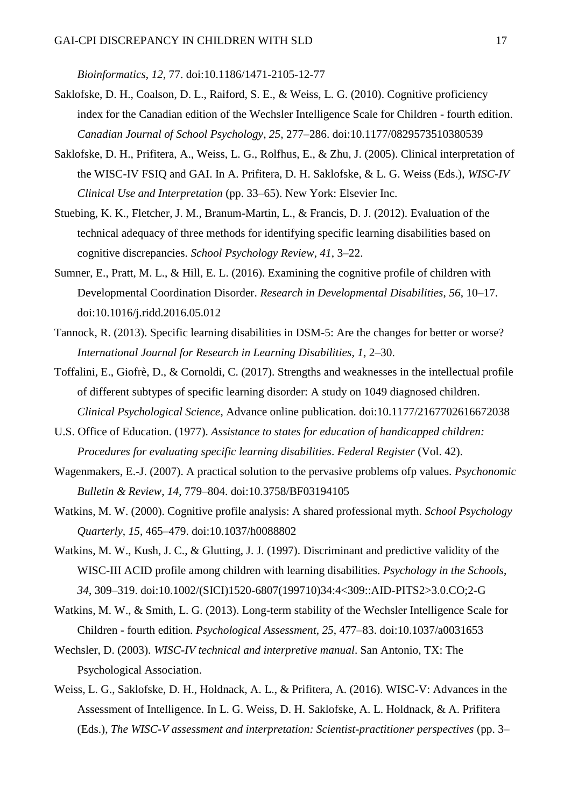*Bioinformatics*, *12*, 77. doi:10.1186/1471-2105-12-77

- Saklofske, D. H., Coalson, D. L., Raiford, S. E., & Weiss, L. G. (2010). Cognitive proficiency index for the Canadian edition of the Wechsler Intelligence Scale for Children - fourth edition. *Canadian Journal of School Psychology*, *25*, 277–286. doi:10.1177/0829573510380539
- Saklofske, D. H., Prifitera, A., Weiss, L. G., Rolfhus, E., & Zhu, J. (2005). Clinical interpretation of the WISC-IV FSIQ and GAI. In A. Prifitera, D. H. Saklofske, & L. G. Weiss (Eds.), *WISC-IV Clinical Use and Interpretation* (pp. 33–65). New York: Elsevier Inc.
- Stuebing, K. K., Fletcher, J. M., Branum-Martin, L., & Francis, D. J. (2012). Evaluation of the technical adequacy of three methods for identifying specific learning disabilities based on cognitive discrepancies. *School Psychology Review*, *41*, 3–22.
- Sumner, E., Pratt, M. L., & Hill, E. L. (2016). Examining the cognitive profile of children with Developmental Coordination Disorder. *Research in Developmental Disabilities*, *56*, 10–17. doi:10.1016/j.ridd.2016.05.012
- Tannock, R. (2013). Specific learning disabilities in DSM-5: Are the changes for better or worse? *International Journal for Research in Learning Disabilities*, *1*, 2–30.
- Toffalini, E., Giofrè, D., & Cornoldi, C. (2017). Strengths and weaknesses in the intellectual profile of different subtypes of specific learning disorder: A study on 1049 diagnosed children. *Clinical Psychological Science*, Advance online publication. doi:10.1177/2167702616672038
- U.S. Office of Education. (1977). *Assistance to states for education of handicapped children: Procedures for evaluating specific learning disabilities*. *Federal Register* (Vol. 42).
- Wagenmakers, E.-J. (2007). A practical solution to the pervasive problems ofp values. *Psychonomic Bulletin & Review*, *14*, 779–804. doi:10.3758/BF03194105
- Watkins, M. W. (2000). Cognitive profile analysis: A shared professional myth. *School Psychology Quarterly*, *15*, 465–479. doi:10.1037/h0088802
- Watkins, M. W., Kush, J. C., & Glutting, J. J. (1997). Discriminant and predictive validity of the WISC-III ACID profile among children with learning disabilities. *Psychology in the Schools*, *34*, 309–319. doi:10.1002/(SICI)1520-6807(199710)34:4<309::AID-PITS2>3.0.CO;2-G
- Watkins, M. W., & Smith, L. G. (2013). Long-term stability of the Wechsler Intelligence Scale for Children - fourth edition. *Psychological Assessment*, *25*, 477–83. doi:10.1037/a0031653
- Wechsler, D. (2003). *WISC-IV technical and interpretive manual*. San Antonio, TX: The Psychological Association.
- Weiss, L. G., Saklofske, D. H., Holdnack, A. L., & Prifitera, A. (2016). WISC-V: Advances in the Assessment of Intelligence. In L. G. Weiss, D. H. Saklofske, A. L. Holdnack, & A. Prifitera (Eds.), *The WISC-V assessment and interpretation: Scientist-practitioner perspectives* (pp. 3–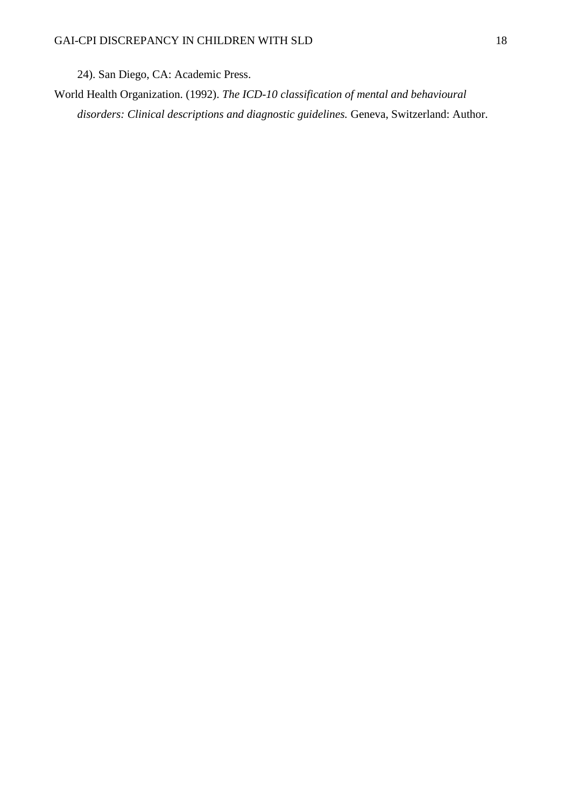24). San Diego, CA: Academic Press.

World Health Organization. (1992). *The ICD-10 classification of mental and behavioural disorders: Clinical descriptions and diagnostic guidelines.* Geneva, Switzerland: Author.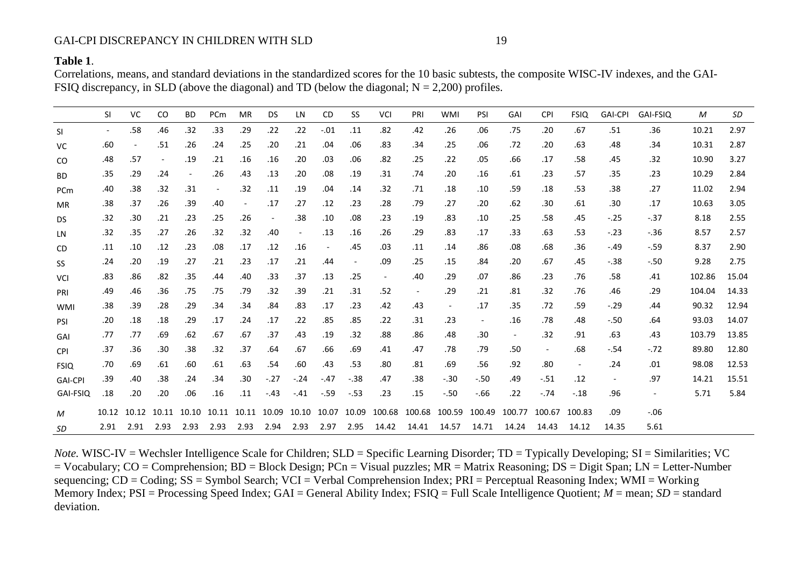## GAI-CPI DISCREPANCY IN CHILDREN WITH SLD 19

## **Table 1**.

Correlations, means, and standard deviations in the standardized scores for the 10 basic subtests, the composite WISC-IV indexes, and the GAI-FSIQ discrepancy, in SLD (above the diagonal) and TD (below the diagonal;  $N = 2,200$ ) profiles.

|                | <b>SI</b>                | <b>VC</b>                | CO.                      | BD                       | PCm                      | MR          | DS                       | LN.                      | <b>CD</b>                | SS                       | VCI    | PRI    | <b>WMI</b>               | <b>PSI</b>               | GAI                      | <b>CPI</b> | <b>FSIQ</b>              | <b>GAI-CPI</b>           | GAI-FSIQ                 | M      | SD    |
|----------------|--------------------------|--------------------------|--------------------------|--------------------------|--------------------------|-------------|--------------------------|--------------------------|--------------------------|--------------------------|--------|--------|--------------------------|--------------------------|--------------------------|------------|--------------------------|--------------------------|--------------------------|--------|-------|
| <b>SI</b>      | $\overline{\phantom{a}}$ | .58                      | .46                      | .32                      | .33                      | .29         | .22                      | .22                      | $-.01$                   | .11                      | .82    | .42    | .26                      | .06                      | .75                      | .20        | .67                      | .51                      | .36                      | 10.21  | 2.97  |
| VC             | .60                      | $\overline{\phantom{a}}$ | .51                      | .26                      | .24                      | .25         | .20                      | .21                      | .04                      | .06                      | .83    | .34    | .25                      | .06                      | .72                      | .20        | .63                      | .48                      | .34                      | 10.31  | 2.87  |
| CO             | .48                      | .57                      | $\overline{\phantom{a}}$ | .19                      | .21                      | .16         | .16                      | .20                      | .03                      | .06                      | .82    | .25    | .22                      | .05                      | .66                      | .17        | .58                      | .45                      | .32                      | 10.90  | 3.27  |
| <b>BD</b>      | .35                      | .29                      | .24                      | $\overline{\phantom{a}}$ | .26                      | .43         | .13                      | .20                      | .08                      | .19                      | .31    | .74    | .20                      | .16                      | .61                      | .23        | .57                      | .35                      | .23                      | 10.29  | 2.84  |
| PCm            | .40                      | .38                      | .32                      | .31                      | $\overline{\phantom{a}}$ | .32         | .11                      | .19                      | .04                      | .14                      | .32    | .71    | .18                      | .10                      | .59                      | .18        | .53                      | .38                      | .27                      | 11.02  | 2.94  |
| <b>MR</b>      | .38                      | .37                      | .26                      | .39                      | .40                      | $\sim$      | .17                      | .27                      | .12                      | .23                      | .28    | .79    | .27                      | .20                      | .62                      | .30        | .61                      | .30                      | .17                      | 10.63  | 3.05  |
| <b>DS</b>      | .32                      | .30                      | .21                      | .23                      | .25                      | .26         | $\overline{\phantom{a}}$ | .38                      | .10                      | .08                      | .23    | .19    | .83                      | .10                      | .25                      | .58        | .45                      | $-.25$                   | $-.37$                   | 8.18   | 2.55  |
| LN.            | .32                      | .35                      | .27                      | .26                      | .32                      | .32         | .40                      | $\overline{\phantom{a}}$ | .13                      | .16                      | .26    | .29    | .83                      | .17                      | .33                      | .63        | .53                      | $-.23$                   | $-.36$                   | 8.57   | 2.57  |
| CD             | .11                      | .10                      | .12                      | .23                      | .08                      | .17         | .12                      | .16                      | $\overline{\phantom{a}}$ | .45                      | .03    | .11    | .14                      | .86                      | .08                      | .68        | .36                      | -.49                     | $-.59$                   | 8.37   | 2.90  |
| SS             | .24                      | .20                      | .19                      | .27                      | .21                      | .23         | .17                      | .21                      | .44                      | $\overline{\phantom{a}}$ | .09    | .25    | .15                      | .84                      | .20                      | .67        | .45                      | $-.38$                   | $-.50$                   | 9.28   | 2.75  |
| <b>VCI</b>     | .83                      | .86                      | .82                      | .35                      | .44                      | .40         | .33                      | .37                      | .13                      | .25                      | $\sim$ | .40    | .29                      | .07                      | .86                      | .23        | .76                      | .58                      | .41                      | 102.86 | 15.04 |
| PRI            | .49                      | .46                      | .36                      | .75                      | .75                      | .79         | .32                      | .39                      | .21                      | .31                      | .52    | $\sim$ | .29                      | .21                      | .81                      | .32        | .76                      | .46                      | .29                      | 104.04 | 14.33 |
| <b>WMI</b>     | .38                      | .39                      | .28                      | .29                      | .34                      | .34         | .84                      | .83                      | .17                      | .23                      | .42    | .43    | $\overline{\phantom{a}}$ | .17                      | .35                      | .72        | .59                      | $-.29$                   | .44                      | 90.32  | 12.94 |
| PSI            | .20                      | .18                      | .18                      | .29                      | .17                      | .24         | .17                      | .22                      | .85                      | .85                      | .22    | .31    | .23                      | $\overline{\phantom{a}}$ | .16                      | .78        | .48                      | $-.50$                   | .64                      | 93.03  | 14.07 |
| GAI            | .77                      | .77                      | .69                      | .62                      | .67                      | .67         | .37                      | .43                      | .19                      | .32                      | .88    | .86    | .48                      | .30                      | $\overline{\phantom{a}}$ | .32        | .91                      | .63                      | .43                      | 103.79 | 13.85 |
| <b>CPI</b>     | .37                      | .36                      | .30                      | .38                      | .32                      | .37         | .64                      | .67                      | .66                      | .69                      | .41    | .47    | .78                      | .79                      | .50                      | $\sim$     | .68                      | $-.54$                   | $-.72$                   | 89.80  | 12.80 |
| <b>FSIQ</b>    | .70                      | .69                      | .61                      | .60                      | .61                      | .63         | .54                      | .60                      | .43                      | .53                      | .80    | .81    | .69                      | .56                      | .92                      | .80        | $\overline{\phantom{a}}$ | .24                      | .01                      | 98.08  | 12.53 |
| <b>GAI-CPI</b> | .39                      | .40                      | .38                      | .24                      | .34                      | .30         | $-.27$                   | $-.24$                   | $-.47$                   | $-.38$                   | .47    | .38    | $-.30$                   | $-.50$                   | .49                      | $-.51$     | .12                      | $\overline{\phantom{a}}$ | .97                      | 14.21  | 15.51 |
| GAI-FSIQ       | .18                      | .20                      | .20                      | .06                      | .16                      | .11         | $-.43$                   | $-.41$                   | $-.59$                   | $-.53$                   | .23    | .15    | $-.50$                   | $-66$                    | .22                      | $-.74$     | $-.18$                   | .96                      | $\overline{\phantom{a}}$ | 5.71   | 5.84  |
| M              | 10.12                    | 10.12                    | 10.11                    | 10.10                    |                          | 10.11 10.11 | 10.09                    | 10.10                    | 10.07                    | 10.09                    | 100.68 | 100.68 | 100.59                   | 100.49                   | 100.77                   | 100.67     | 100.83                   | .09                      | $-.06$                   |        |       |
| SD             | 2.91                     | 2.91                     | 2.93                     | 2.93                     | 2.93                     | 2.93        | 2.94                     | 2.93                     | 2.97                     | 2.95                     | 14.42  | 14.41  | 14.57                    | 14.71                    | 14.24                    | 14.43      | 14.12                    | 14.35                    | 5.61                     |        |       |

*Note.* WISC-IV = Wechsler Intelligence Scale for Children; SLD = Specific Learning Disorder; TD = Typically Developing; SI = Similarities; VC = Vocabulary; CO = Comprehension; BD = Block Design; PCn = Visual puzzles; MR = Matrix Reasoning; DS = Digit Span; LN = Letter-Number sequencing; CD = Coding; SS = Symbol Search; VCI = Verbal Comprehension Index; PRI = Perceptual Reasoning Index; WMI = Working Memory Index;  $PSI = Processing Speed Index$ ;  $GAI = General Ability Index$ ;  $FSIQ = Full Scale Intelligence Quotient$ ;  $M = mean$ ;  $SD = standard$ deviation.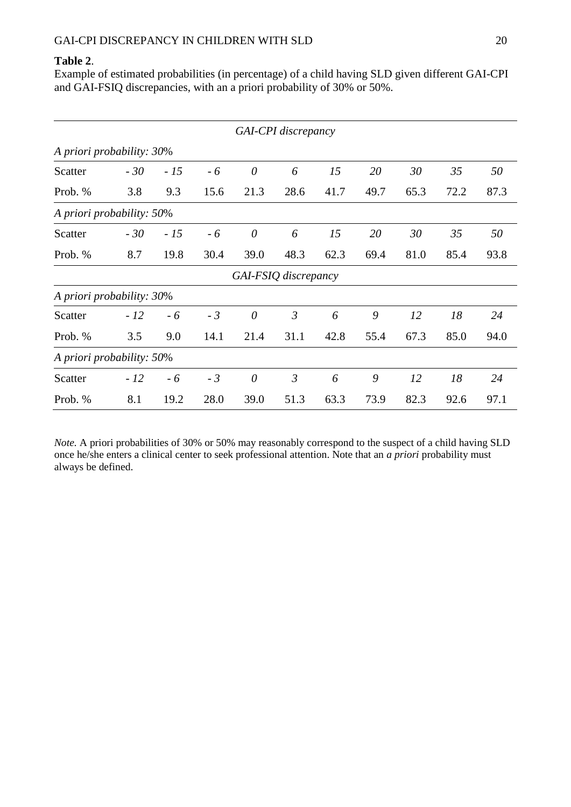## **Table 2**.

Example of estimated probabilities (in percentage) of a child having SLD given different GAI-CPI and GAI-FSIQ discrepancies, with an a priori probability of 30% or 50%.

|                           | GAI-CPI discrepancy       |       |      |          |                |      |      |      |      |      |  |  |  |  |
|---------------------------|---------------------------|-------|------|----------|----------------|------|------|------|------|------|--|--|--|--|
| A priori probability: 30% |                           |       |      |          |                |      |      |      |      |      |  |  |  |  |
| Scatter                   | $-30$                     | $-15$ | $-6$ | $\theta$ | 6              | 15   | 20   | 30   | 35   | 50   |  |  |  |  |
| Prob. %                   | 3.8                       | 9.3   | 15.6 | 21.3     | 28.6           | 41.7 | 49.7 | 65.3 | 72.2 | 87.3 |  |  |  |  |
| A priori probability: 50% |                           |       |      |          |                |      |      |      |      |      |  |  |  |  |
| Scatter                   | $-30$                     | $-15$ | $-6$ | $\theta$ | 6              | 15   | 20   | 30   | 35   | 50   |  |  |  |  |
| Prob. %                   | 8.7                       | 19.8  | 30.4 | 39.0     | 48.3           | 62.3 | 69.4 | 81.0 | 85.4 | 93.8 |  |  |  |  |
| GAI-FSIQ discrepancy      |                           |       |      |          |                |      |      |      |      |      |  |  |  |  |
| A priori probability: 30% |                           |       |      |          |                |      |      |      |      |      |  |  |  |  |
| Scatter                   | $-12$                     | $-6$  | $-3$ | $\theta$ | $\mathfrak{Z}$ | 6    | 9    | 12   | 18   | 24   |  |  |  |  |
| Prob. %                   | 3.5                       | 9.0   | 14.1 | 21.4     | 31.1           | 42.8 | 55.4 | 67.3 | 85.0 | 94.0 |  |  |  |  |
|                           | A priori probability: 50% |       |      |          |                |      |      |      |      |      |  |  |  |  |
| Scatter                   | $-12$                     | $-6$  | $-3$ | $\theta$ | $\mathfrak{Z}$ | 6    | 9    | 12   | 18   | 24   |  |  |  |  |
| Prob. %                   | 8.1                       | 19.2  | 28.0 | 39.0     | 51.3           | 63.3 | 73.9 | 82.3 | 92.6 | 97.1 |  |  |  |  |

*Note.* A priori probabilities of 30% or 50% may reasonably correspond to the suspect of a child having SLD once he/she enters a clinical center to seek professional attention. Note that an *a priori* probability must always be defined.